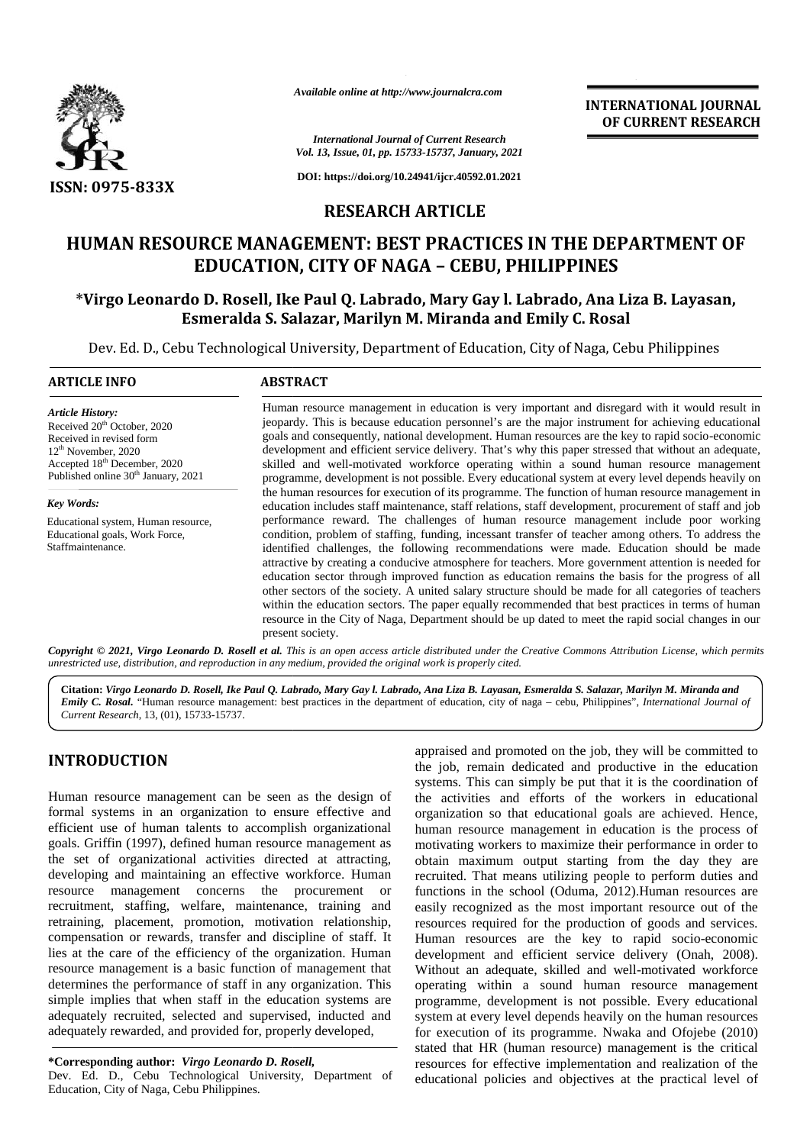

*Available online at http://www.journalcra.com*

#### *International Journal of Current Research Vol. 13, Issue, 01, pp. 15733-15737, January, 2021*

# **RESEARCH ARTICLE**

## **HUMAN RESOURCE MANAGEMENT: BEST PRACTICES IN THE DEPARTMENT OF OFEDUCATION, CITY CEBU, PHILIPPINESEDUCATION, CITY OF NAGA – CEBU, PHILIPPINES**

## **\*Virgo Leonardo D. Rosell, Ike Paul Q. Labrado, Mary Gay l. Labrado, Ana Liza B. Layasan, Leonardo D. Paul Q. S. Salazar, Esmeralda S. Salazar, Marilyn M. Miranda and Emily C. Rosal**

|                                                                                                                                                                                                                                  | Available online at http://www.journalcra.com                                                                                                                                                                                                                                                                                                                                                                                                                                                                                                                                                                                                                                                                                                                                                                                                |                                                                                                        | <b>INTERNATIONAL JOURNAL</b><br>OF CURRENT RESEARCH                                                                                                                                                                                                                                                       |
|----------------------------------------------------------------------------------------------------------------------------------------------------------------------------------------------------------------------------------|----------------------------------------------------------------------------------------------------------------------------------------------------------------------------------------------------------------------------------------------------------------------------------------------------------------------------------------------------------------------------------------------------------------------------------------------------------------------------------------------------------------------------------------------------------------------------------------------------------------------------------------------------------------------------------------------------------------------------------------------------------------------------------------------------------------------------------------------|--------------------------------------------------------------------------------------------------------|-----------------------------------------------------------------------------------------------------------------------------------------------------------------------------------------------------------------------------------------------------------------------------------------------------------|
|                                                                                                                                                                                                                                  |                                                                                                                                                                                                                                                                                                                                                                                                                                                                                                                                                                                                                                                                                                                                                                                                                                              | <b>International Journal of Current Research</b><br>Vol. 13, Issue, 01, pp. 15733-15737, January, 2021 |                                                                                                                                                                                                                                                                                                           |
| <b>ISSN: 0975-833X</b>                                                                                                                                                                                                           |                                                                                                                                                                                                                                                                                                                                                                                                                                                                                                                                                                                                                                                                                                                                                                                                                                              | DOI: https://doi.org/10.24941/ijcr.40592.01.2021                                                       |                                                                                                                                                                                                                                                                                                           |
|                                                                                                                                                                                                                                  |                                                                                                                                                                                                                                                                                                                                                                                                                                                                                                                                                                                                                                                                                                                                                                                                                                              | <b>RESEARCH ARTICLE</b>                                                                                |                                                                                                                                                                                                                                                                                                           |
|                                                                                                                                                                                                                                  | <b>EDUCATION, CITY OF NAGA - CEBU, PHILIPPINES</b>                                                                                                                                                                                                                                                                                                                                                                                                                                                                                                                                                                                                                                                                                                                                                                                           |                                                                                                        | HUMAN RESOURCE MANAGEMENT: BEST PRACTICES IN THE DEPARTMENT OF                                                                                                                                                                                                                                            |
|                                                                                                                                                                                                                                  | Esmeralda S. Salazar, Marilyn M. Miranda and Emily C. Rosal                                                                                                                                                                                                                                                                                                                                                                                                                                                                                                                                                                                                                                                                                                                                                                                  |                                                                                                        | *Virgo Leonardo D. Rosell, Ike Paul Q. Labrado, Mary Gay l. Labrado, Ana Liza B. Layasan,                                                                                                                                                                                                                 |
|                                                                                                                                                                                                                                  | Dev. Ed. D., Cebu Technological University, Department of Education, City of Naga, Cebu Philippines                                                                                                                                                                                                                                                                                                                                                                                                                                                                                                                                                                                                                                                                                                                                          |                                                                                                        |                                                                                                                                                                                                                                                                                                           |
| <b>ARTICLE INFO</b>                                                                                                                                                                                                              | <b>ABSTRACT</b>                                                                                                                                                                                                                                                                                                                                                                                                                                                                                                                                                                                                                                                                                                                                                                                                                              |                                                                                                        |                                                                                                                                                                                                                                                                                                           |
| <b>Article History:</b><br>Received 20 <sup>th</sup> October, 2020<br>Received in revised form<br>12 <sup>th</sup> November, 2020<br>Accepted 18 <sup>th</sup> December, 2020<br>Published online 30 <sup>th</sup> January, 2021 | Human resource management in education is very important and disregard with it would result in<br>jeopardy. This is because education personnel's are the major instrument for achieving educational<br>goals and consequently, national development. Human resources are the key to rapid socio-economic<br>development and efficient service delivery. That's why this paper stressed that without an adequate,<br>skilled and well-motivated workforce operating within a sound human resource management<br>programme, development is not possible. Every educational system at every level depends heavily on                                                                                                                                                                                                                           |                                                                                                        |                                                                                                                                                                                                                                                                                                           |
| the human resources for execution of its programme. The function of human resource management in<br>Key Words:<br>education includes staff maintenance, staff relations, staff development, procurement of staff and job         |                                                                                                                                                                                                                                                                                                                                                                                                                                                                                                                                                                                                                                                                                                                                                                                                                                              |                                                                                                        |                                                                                                                                                                                                                                                                                                           |
| Educational system, Human resource,<br>Educational goals, Work Force,<br>Staffmaintenance.                                                                                                                                       | performance reward. The challenges of human resource management include poor working<br>condition, problem of staffing, funding, incessant transfer of teacher among others. To address the<br>identified challenges, the following recommendations were made. Education should be made<br>attractive by creating a conducive atmosphere for teachers. More government attention is needed for<br>education sector through improved function as education remains the basis for the progress of all<br>other sectors of the society. A united salary structure should be made for all categories of teachers<br>within the education sectors. The paper equally recommended that best practices in terms of human<br>resource in the City of Naga, Department should be up dated to meet the rapid social changes in our<br>present society. |                                                                                                        |                                                                                                                                                                                                                                                                                                           |
| unrestricted use, distribution, and reproduction in any medium, provided the original work is properly cited.                                                                                                                    |                                                                                                                                                                                                                                                                                                                                                                                                                                                                                                                                                                                                                                                                                                                                                                                                                                              |                                                                                                        | Copyright © 2021, Virgo Leonardo D. Rosell et al. This is an open access article distributed under the Creative Commons Attribution License, which permits                                                                                                                                                |
| Current Research, 13, (01), 15733-15737.                                                                                                                                                                                         |                                                                                                                                                                                                                                                                                                                                                                                                                                                                                                                                                                                                                                                                                                                                                                                                                                              |                                                                                                        | Citation: Virgo Leonardo D. Rosell, Ike Paul Q. Labrado, Mary Gay l. Labrado, Ana Liza B. Layasan, Esmeralda S. Salazar, Marilyn M. Miranda and<br>Emily C. Rosal. "Human resource management: best practices in the department of education, city of naga - cebu, Philippines", International Journal of |
| <b>INTRODUCTION</b>                                                                                                                                                                                                              |                                                                                                                                                                                                                                                                                                                                                                                                                                                                                                                                                                                                                                                                                                                                                                                                                                              |                                                                                                        | appraised and promoted on the job, they will be committed to<br>the job, remain dedicated and productive in the education                                                                                                                                                                                 |
| Human resource management can be seen as the design of                                                                                                                                                                           |                                                                                                                                                                                                                                                                                                                                                                                                                                                                                                                                                                                                                                                                                                                                                                                                                                              |                                                                                                        | systems. This can simply be put that it is the coordination of<br>the activities and efforts of the workers in educational                                                                                                                                                                                |
| formal systems in an organization to ensure effective and                                                                                                                                                                        |                                                                                                                                                                                                                                                                                                                                                                                                                                                                                                                                                                                                                                                                                                                                                                                                                                              |                                                                                                        | organization so that educational goals are achieved. Hence,                                                                                                                                                                                                                                               |
| efficient use of human talents to accomplish organizational<br>goals. Griffin (1997), defined human resource management as                                                                                                       |                                                                                                                                                                                                                                                                                                                                                                                                                                                                                                                                                                                                                                                                                                                                                                                                                                              |                                                                                                        | human resource management in education is the process of<br>motivating workers to maximize their performance in order to                                                                                                                                                                                  |
| the set of organizational activities directed at attracting,                                                                                                                                                                     |                                                                                                                                                                                                                                                                                                                                                                                                                                                                                                                                                                                                                                                                                                                                                                                                                                              |                                                                                                        | obtain maximum output starting from the day they are                                                                                                                                                                                                                                                      |
| developing and maintaining an effective workforce. Human<br>resource management concerns the procurement                                                                                                                         |                                                                                                                                                                                                                                                                                                                                                                                                                                                                                                                                                                                                                                                                                                                                                                                                                                              |                                                                                                        | recruited. That means utilizing people to perform duties and                                                                                                                                                                                                                                              |
| recruitment, staffing, welfare, maintenance, training and                                                                                                                                                                        | <b>or</b>                                                                                                                                                                                                                                                                                                                                                                                                                                                                                                                                                                                                                                                                                                                                                                                                                                    |                                                                                                        | functions in the school (Oduma, 2012).Human resources are<br>easily recognized as the most important resource out of the                                                                                                                                                                                  |
| retraining, placement, promotion, motivation relationship,                                                                                                                                                                       |                                                                                                                                                                                                                                                                                                                                                                                                                                                                                                                                                                                                                                                                                                                                                                                                                                              |                                                                                                        | resources required for the production of goods and services.                                                                                                                                                                                                                                              |
| compensation or rewards, transfer and discipline of staff. It<br>lies at the care of the efficiency of the organization. Human                                                                                                   |                                                                                                                                                                                                                                                                                                                                                                                                                                                                                                                                                                                                                                                                                                                                                                                                                                              |                                                                                                        | Human resources are the key to rapid socio-economic<br>development and efficient service delivery (Onah, 2008).                                                                                                                                                                                           |
| resource management is a basic function of management that                                                                                                                                                                       |                                                                                                                                                                                                                                                                                                                                                                                                                                                                                                                                                                                                                                                                                                                                                                                                                                              |                                                                                                        | Without an adequate, skilled and well-motivated workforce                                                                                                                                                                                                                                                 |
| determines the performance of staff in any organization. This<br>simple implies that when staff in the education systems are                                                                                                     |                                                                                                                                                                                                                                                                                                                                                                                                                                                                                                                                                                                                                                                                                                                                                                                                                                              |                                                                                                        | operating within a sound human resource management<br>programme, development is not possible. Every educational                                                                                                                                                                                           |
| adequately recruited, selected and supervised, inducted and                                                                                                                                                                      |                                                                                                                                                                                                                                                                                                                                                                                                                                                                                                                                                                                                                                                                                                                                                                                                                                              |                                                                                                        | system at every level depends heavily on the human resources                                                                                                                                                                                                                                              |
| adequately rewarded, and provided for, properly developed,                                                                                                                                                                       |                                                                                                                                                                                                                                                                                                                                                                                                                                                                                                                                                                                                                                                                                                                                                                                                                                              |                                                                                                        | for execution of its programme. Nwaka and Ofojebe (2010)<br>stated that HR (human resource) management is the critical                                                                                                                                                                                    |
| *Corresponding author: Virgo Leonardo D. Rosell,<br>Dev. Ed. D., Cebu Technological University, Department of                                                                                                                    |                                                                                                                                                                                                                                                                                                                                                                                                                                                                                                                                                                                                                                                                                                                                                                                                                                              |                                                                                                        | resources for effective implementation and realization of the<br>educational policies and objectives at the practical level of                                                                                                                                                                            |

## **INTRODUCTION INTRODUCTION**

Dev. Ed. D., Cebu Technological University, Department of Education, City of Naga, Cebu Philippines.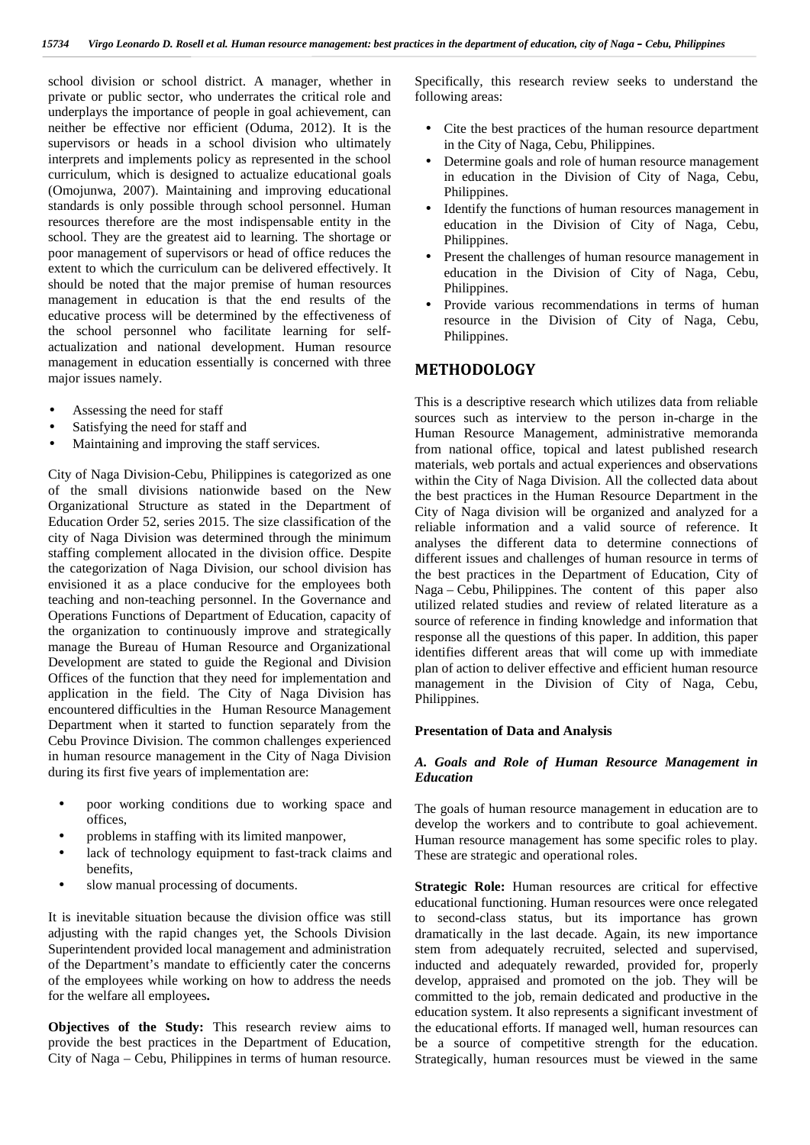school division or school district. A manager, whether in private or public sector, who underrates the critical role and underplays the importance of people in goal achievement, can neither be effective nor efficient (Oduma, 2012). It is the supervisors or heads in a school division who ultimately interprets and implements policy as represented in the school curriculum, which is designed to actualize educational goals (Omojunwa, 2007). Maintaining and improving educational standards is only possible through school personnel. Human resources therefore are the most indispensable entity in the school. They are the greatest aid to learning. The shortage or poor management of supervisors or head of office reduces the extent to which the curriculum can be delivered effectively. It should be noted that the major premise of human resources management in education is that the end results of the educative process will be determined by the effectiveness of the school personnel who facilitate learning for self actualization and national development. Human resource management in education essentially is concerned with three major issues namely.

- Assessing the need for staff
- Satisfying the need for staff and
- Maintaining and improving the staff services.

City of Naga Division-Cebu, Philippines is categorized as one of the small divisions nationwide based on the New Organizational Structure as stated in the Department of Education Order 52, series 2015. The size classification of the city of Naga Division was determined through the minimum staffing complement allocated in the division office. Despite the categorization of Naga Division, our school division has envisioned it as a place conducive for the employees both teaching and non-teaching personnel. In the Governance and Operations Functions of Department of Education, capacity of the organization to continuously improve and strategically manage the Bureau of Human Resource and Organizational Development are stated to guide the Regional and Division Offices of the function that they need for implementation and application in the field. The City of Naga Division has encountered difficulties in the Human Resource Management Department when it started to function separately from the Cebu Province Division. The common challenges experienced in human resource management in the City of Naga Division during its first five years of implementation are:

- poor working conditions due to working space and offices,
- problems in staffing with its limited manpower,
- lack of technology equipment to fast-track claims and benefits,
- slow manual processing of documents.

It is inevitable situation because the division office was still adjusting with the rapid changes yet, the Schools Division Superintendent provided local management and administration of the Department's mandate to efficiently cater the concerns of the employees while working on how to address the needs for the welfare all employees**.**

**Objectives of the Study:** This research review aims to provide the best practices in the Department of Education, City of Naga – Cebu, Philippines in terms of human resource.

Specifically, this research review seeks to understand the following areas:

- Cite the best practices of the human resource department in the City of Naga, Cebu, Philippines.
- Determine goals and role of human resource management in education in the Division of City of Naga, Cebu, Philippines.
- Identify the functions of human resources management in education in the Division of City of Naga, Cebu, Philippines.
- Present the challenges of human resource management in education in the Division of City of Naga, Cebu, Philippines.
- Provide various recommendations in terms of human resource in the Division of City of Naga, Cebu, Philippines.

## **METHODOLOGY**

This is a descriptive research which utilizes data from reliable sources such as interview to the person in-charge in the Human Resource Management, administrative memoranda from national office, topical and latest published research materials, web portals and actual experiences and observations within the City of Naga Division. All the collected data about the best practices in the Human Resource Department in the City of Naga division will be organized and analyzed for a reliable information and a valid source of reference. It analyses the different data to determine connections of different issues and challenges of human resource in terms of the best practices in the Department of Education, City of Naga – Cebu, Philippines. The content of this paper also utilized related studies and review of related literature as a source of reference in finding knowledge and information that response all the questions of this paper. In addition, this paper identifies different areas that will come up with immediate plan of action to deliver effective and efficient human resource management in the Division of City of Naga, Cebu, Philippines.

#### **Presentation of Data and Analysis**

#### *A. Goals and Role of Human Resource Management in Education*

The goals of human resource management in education are to develop the workers and to contribute to goal achievement. Human resource management has some specific roles to play. These are strategic and operational roles.

**Strategic Role:** Human resources are critical for effective educational functioning. Human resources were once relegated to second-class status, but its importance has grown dramatically in the last decade. Again, its new importance stem from adequately recruited, selected and supervised, inducted and adequately rewarded, provided for, properly develop, appraised and promoted on the job. They will be committed to the job, remain dedicated and productive in the education system. It also represents a significant investment of the educational efforts. If managed well, human resources can be a source of competitive strength for the education. Strategically, human resources must be viewed in the same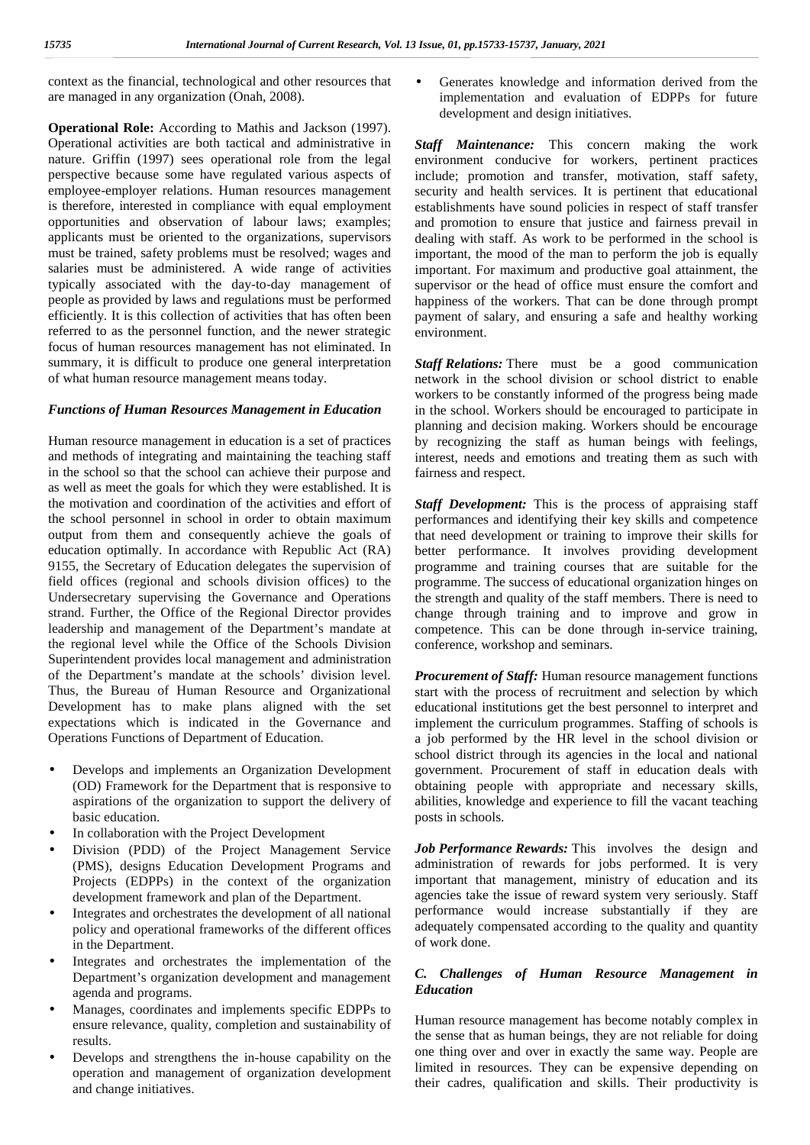context as the financial, technological and other resources that are managed in any organization (Onah, 2008).

**Operational Role:** According to Mathis and Jackson (1997). Operational activities are both tactical and administrative in nature. Griffin (1997) sees operational role from the legal perspective because some have regulated various aspects of employee-employer relations. Human resources management is therefore, interested in compliance with equal employment opportunities and observation of labour laws; examples; applicants must be oriented to the organizations, supervisors must be trained, safety problems must be resolved; wages and salaries must be administered. A wide range of activities typically associated with the day-to-day management of people as provided by laws and regulations must be performed efficiently. It is this collection of activities that has often been referred to as the personnel function, and the newer strategic focus of human resources management has not eliminated. In summary, it is difficult to produce one general interpretation of what human resource management means today.

#### *Functions of Human Resources Management in Education*

Human resource management in education is a set of practices and methods of integrating and maintaining the teaching staff in the school so that the school can achieve their purpose and as well as meet the goals for which they were established. It is the motivation and coordination of the activities and effort of the school personnel in school in order to obtain maximum output from them and consequently achieve the goals of education optimally. In accordance with Republic Act (RA) 9155, the Secretary of Education delegates the supervision of field offices (regional and schools division offices) to the Undersecretary supervising the Governance and Operations strand. Further, the Office of the Regional Director provides leadership and management of the Department's mandate at the regional level while the Office of the Schools Division Superintendent provides local management and administration of the Department's mandate at the schools' division level. Thus, the Bureau of Human Resource and Organizational Development has to make plans aligned with the set expectations which is indicated in the Governance and Operations Functions of Department of Education.

- Develops and implements an Organization Development (OD) Framework for the Department that is responsive to aspirations of the organization to support the delivery of basic education.
- In collaboration with the Project Development
- Division (PDD) of the Project Management Service (PMS), designs Education Development Programs and Projects (EDPPs) in the context of the organization development framework and plan of the Department.
- Integrates and orchestrates the development of all national policy and operational frameworks of the different offices in the Department.
- Integrates and orchestrates the implementation of the Department's organization development and management agenda and programs.
- Manages, coordinates and implements specific EDPPs to ensure relevance, quality, completion and sustainability of results.
- Develops and strengthens the in-house capability on the operation and management of organization development and change initiatives.

 Generates knowledge and information derived from the implementation and evaluation of EDPPs for future development and design initiatives.

*Staff Maintenance:* This concern making the work environment conducive for workers, pertinent practices include; promotion and transfer, motivation, staff safety, security and health services. It is pertinent that educational establishments have sound policies in respect of staff transfer and promotion to ensure that justice and fairness prevail in dealing with staff. As work to be performed in the school is important, the mood of the man to perform the job is equally important. For maximum and productive goal attainment, the supervisor or the head of office must ensure the comfort and happiness of the workers. That can be done through prompt payment of salary, and ensuring a safe and healthy working environment.

*Staff Relations:* There must be a good communication network in the school division or school district to enable workers to be constantly informed of the progress being made in the school. Workers should be encouraged to participate in planning and decision making. Workers should be encourage by recognizing the staff as human beings with feelings, interest, needs and emotions and treating them as such with fairness and respect.

*Staff Development:* This is the process of appraising staff performances and identifying their key skills and competence that need development or training to improve their skills for better performance. It involves providing development programme and training courses that are suitable for the programme. The success of educational organization hinges on the strength and quality of the staff members. There is need to change through training and to improve and grow in competence. This can be done through in-service training, conference, workshop and seminars.

*Procurement of Staff:* Human resource management functions start with the process of recruitment and selection by which educational institutions get the best personnel to interpret and implement the curriculum programmes. Staffing of schools is a job performed by the HR level in the school division or school district through its agencies in the local and national government. Procurement of staff in education deals with obtaining people with appropriate and necessary skills, abilities, knowledge and experience to fill the vacant teaching posts in schools.

*Job Performance Rewards:* This involves the design and administration of rewards for jobs performed. It is very important that management, ministry of education and its agencies take the issue of reward system very seriously. Staff performance would increase substantially if they are adequately compensated according to the quality and quantity of work done.

#### *C. Challenges of Human Resource Management in Education*

Human resource management has become notably complex in the sense that as human beings, they are not reliable for doing one thing over and over in exactly the same way. People are limited in resources. They can be expensive depending on their cadres, qualification and skills. Their productivity is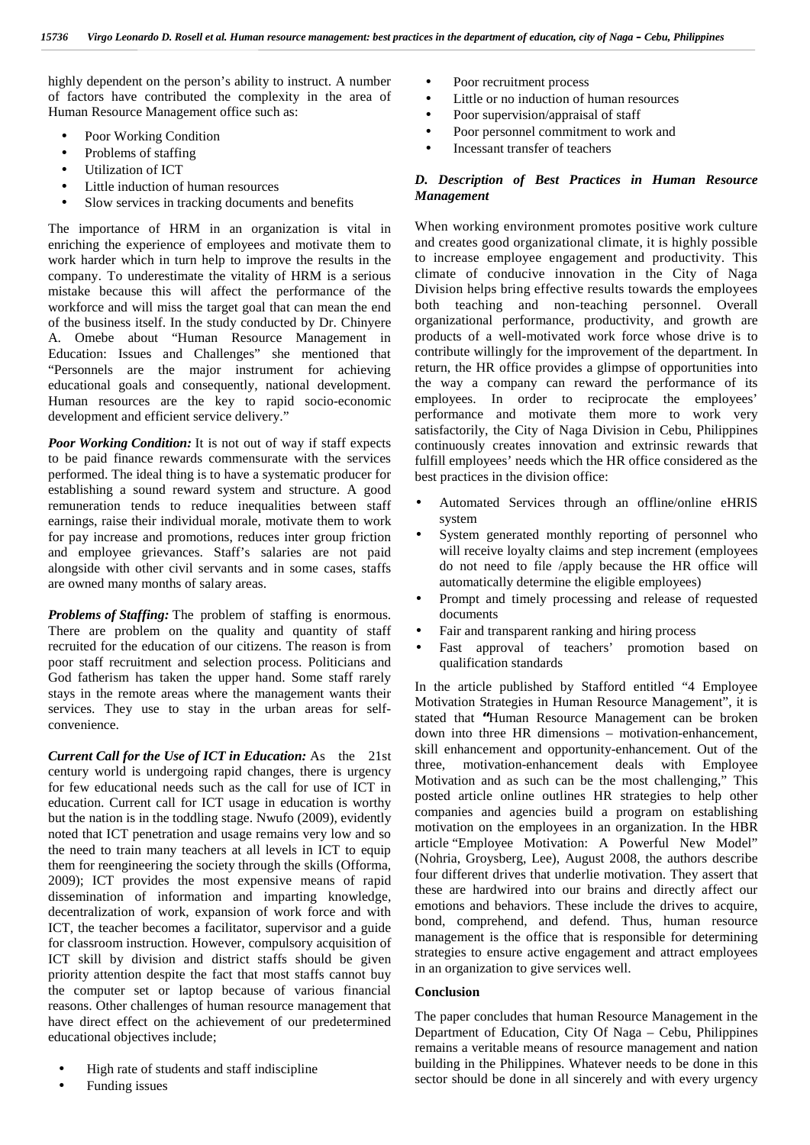highly dependent on the person's ability to instruct. A number of factors have contributed the complexity in the area of Human Resource Management office such as:

- Poor Working Condition
- Problems of staffing
- Utilization of ICT
- Little induction of human resources
- Slow services in tracking documents and benefits

The importance of HRM in an organization is vital in enriching the experience of employees and motivate them to work harder which in turn help to improve the results in the company. To underestimate the vitality of HRM is a serious mistake because this will affect the performance of the workforce and will miss the target goal that can mean the end of the business itself. In the study conducted by Dr. Chinyere A. Omebe about "Human Resource Management in Education: Issues and Challenges" she mentioned that "Personnels are the major instrument for achieving educational goals and consequently, national development. Human resources are the key to rapid socio-economic development and efficient service delivery."

*Poor Working Condition:* It is not out of way if staff expects to be paid finance rewards commensurate with the services performed. The ideal thing is to have a systematic producer for establishing a sound reward system and structure. A good remuneration tends to reduce inequalities between staff earnings, raise their individual morale, motivate them to work for pay increase and promotions, reduces inter group friction and employee grievances. Staff's salaries are not paid alongside with other civil servants and in some cases, staffs are owned many months of salary areas.

*Problems of Staffing:* The problem of staffing is enormous. There are problem on the quality and quantity of staff recruited for the education of our citizens. The reason is from poor staff recruitment and selection process. Politicians and God fatherism has taken the upper hand. Some staff rarely stays in the remote areas where the management wants their services. They use to stay in the urban areas for self convenience.

*Current Call for the Use of ICT in Education:* As the 21st century world is undergoing rapid changes, there is urgency for few educational needs such as the call for use of ICT in education. Current call for ICT usage in education is worthy but the nation is in the toddling stage. Nwufo (2009), evidently noted that ICT penetration and usage remains very low and so the need to train many teachers at all levels in ICT to equip them for reengineering the society through the skills (Offorma, 2009); ICT provides the most expensive means of rapid dissemination of information and imparting knowledge, decentralization of work, expansion of work force and with ICT, the teacher becomes a facilitator, supervisor and a guide for classroom instruction. However, compulsory acquisition of ICT skill by division and district staffs should be given priority attention despite the fact that most staffs cannot buy the computer set or laptop because of various financial reasons. Other challenges of human resource management that have direct effect on the achievement of our predetermined educational objectives include;

 High rate of students and staff indiscipline Funding issues

 Poor recruitment process Little or no induction of human resources Poor supervision/appraisal of staff Poor personnel commitment to work and Incessant transfer of teachers

#### *D. Description of Best Practices in Human Resource Management*

When working environment promotes positive work culture and creates good organizational climate, it is highly possible to increase employee engagement and productivity. This climate of conducive innovation in the City of Naga Division helps bring effective results towards the employees both teaching and non-teaching personnel. Overall organizational performance, productivity, and growth are products of a well-motivated work force whose drive is to contribute willingly for the improvement of the department*.* In return, the HR office provides a glimpse of opportunities into the way a company can reward the performance of its employees. In order to reciprocate the employees' performance and motivate them more to work very satisfactorily, the City of Naga Division in Cebu, Philippines continuously creates innovation and extrinsic rewards that fulfill employees' needs which the HR office considered as the best practices in the division office:

- Automated Services through an offline/online eHRIS system
- System generated monthly reporting of personnel who will receive loyalty claims and step increment (employees do not need to file /apply because the HR office will automatically determine the eligible employees)
- Prompt and timely processing and release of requested documents
- Fair and transparent ranking and hiring process
- Fast approval of teachers' promotion based on qualification standards

In the article published by Stafford entitled "4 Employee Motivation Strategies in Human Resource Management", it is stated that **"**Human Resource Management can be broken down into three HR dimensions – motivation-enhancement, skill enhancement and opportunity-enhancement. Out of the three, motivation-enhancement deals with Employee Motivation and as such can be the most challenging," This posted article online outlines HR strategies to help other companies and agencies build a program on establishing motivation on the employees in an organization. In the HBR article "Employee Motivation: A Powerful New Model" (Nohria, Groysberg, Lee), August 2008, the authors describe four different drives that underlie motivation. They assert that these are hardwired into our brains and directly affect our emotions and behaviors. These include the drives to acquire, bond, comprehend, and defend. Thus, human resource management is the office that is responsible for determining strategies to ensure active engagement and attract employees in an organization to give services well.

#### **Conclusion**

The paper concludes that human Resource Management in the Department of Education, City Of Naga – Cebu, Philippines remains a veritable means of resource management and nation building in the Philippines. Whatever needs to be done in this sector should be done in all sincerely and with every urgency